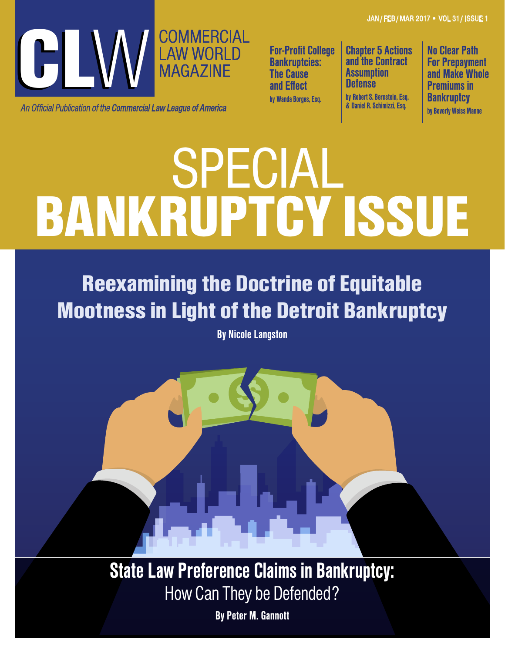JAN / FEB / MAR 2017 • VOL 31 / ISSUE 1



An Official Publication of the **Commercial Law League of America** 

For-Profit College Bankruptcies: **The Cause** and Effect by Wanda Borges, Esq.

Chapter 5 Actions and the Contract **Assumption Defense** by Robert S. Bernstein, Esq. & Daniel R. Schimizzi, Esq.

No Clear Path For Prepayment and Make Whole Premiums in **Bankruptcy** by Beverly Weiss Manne

# BANKRUPTCY ISSUE SPECIAL

Reexamining the Doctrine of Equitable Mootness in Light of the Detroit Bankruptcy

By Nicole Langston

State Law Preference Claims in Bankruptcy: How Can They be Defended?

By Peter M. Gannott